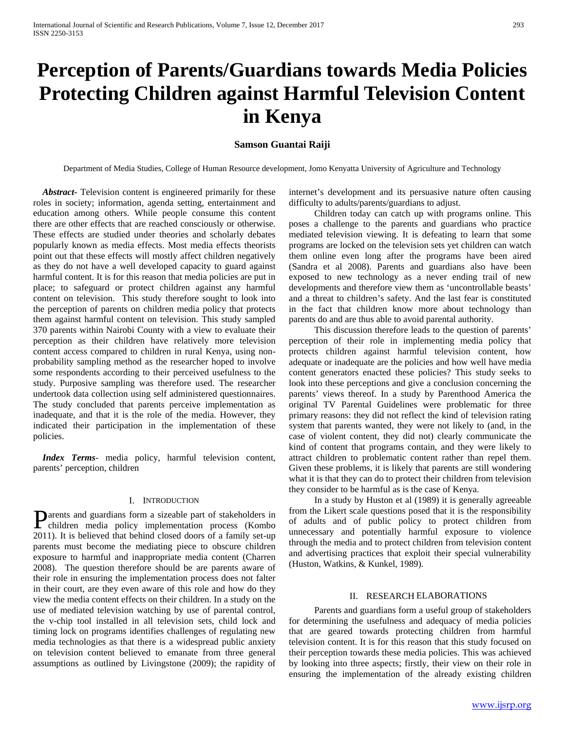# **Perception of Parents/Guardians towards Media Policies Protecting Children against Harmful Television Content in Kenya**

# **Samson Guantai Raiji**

Department of Media Studies, College of Human Resource development, Jomo Kenyatta University of Agriculture and Technology

 *Abstract***-** Television content is engineered primarily for these roles in society; information, agenda setting, entertainment and education among others. While people consume this content there are other effects that are reached consciously or otherwise. These effects are studied under theories and scholarly debates popularly known as media effects. Most media effects theorists point out that these effects will mostly affect children negatively as they do not have a well developed capacity to guard against harmful content. It is for this reason that media policies are put in place; to safeguard or protect children against any harmful content on television. This study therefore sought to look into the perception of parents on children media policy that protects them against harmful content on television. This study sampled 370 parents within Nairobi County with a view to evaluate their perception as their children have relatively more television content access compared to children in rural Kenya, using nonprobability sampling method as the researcher hoped to involve some respondents according to their perceived usefulness to the study. Purposive sampling was therefore used. The researcher undertook data collection using self administered questionnaires. The study concluded that parents perceive implementation as inadequate, and that it is the role of the media. However, they indicated their participation in the implementation of these policies.

 *Index Terms*- media policy, harmful television content, parents' perception, children

## I. INTRODUCTION

arents and guardians form a sizeable part of stakeholders in **D**arents and guardians form a sizeable part of stakeholders in children media policy implementation process (Kombo 2011). It is believed that behind closed doors of a family set-up parents must become the mediating piece to obscure children exposure to harmful and inappropriate media content (Charren 2008). The question therefore should be are parents aware of their role in ensuring the implementation process does not falter in their court, are they even aware of this role and how do they view the media content effects on their children. In a study on the use of mediated television watching by use of parental control, the v-chip tool installed in all television sets, child lock and timing lock on programs identifies challenges of regulating new media technologies as that there is a widespread public anxiety on television content believed to emanate from three general assumptions as outlined by Livingstone (2009); the rapidity of

internet's development and its persuasive nature often causing difficulty to adults/parents/guardians to adjust.

 Children today can catch up with programs online. This poses a challenge to the parents and guardians who practice mediated television viewing. It is defeating to learn that some programs are locked on the television sets yet children can watch them online even long after the programs have been aired (Sandra et al 2008). Parents and guardians also have been exposed to new technology as a never ending trail of new developments and therefore view them as 'uncontrollable beasts' and a threat to children's safety. And the last fear is constituted in the fact that children know more about technology than parents do and are thus able to avoid parental authority.

 This discussion therefore leads to the question of parents' perception of their role in implementing media policy that protects children against harmful television content, how adequate or inadequate are the policies and how well have media content generators enacted these policies? This study seeks to look into these perceptions and give a conclusion concerning the parents' views thereof. In a study by Parenthood America the original TV Parental Guidelines were problematic for three primary reasons: they did not reflect the kind of television rating system that parents wanted, they were not likely to (and, in the case of violent content, they did not) clearly communicate the kind of content that programs contain, and they were likely to attract children to problematic content rather than repel them. Given these problems, it is likely that parents are still wondering what it is that they can do to protect their children from television they consider to be harmful as is the case of Kenya.

 In a study by Huston et al (1989) it is generally agreeable from the Likert scale questions posed that it is the responsibility of adults and of public policy to protect children from unnecessary and potentially harmful exposure to violence through the media and to protect children from television content and advertising practices that exploit their special vulnerability (Huston, Watkins, & Kunkel, 1989).

# II. RESEARCH ELABORATIONS

 Parents and guardians form a useful group of stakeholders for determining the usefulness and adequacy of media policies that are geared towards protecting children from harmful television content. It is for this reason that this study focused on their perception towards these media policies. This was achieved by looking into three aspects; firstly, their view on their role in ensuring the implementation of the already existing children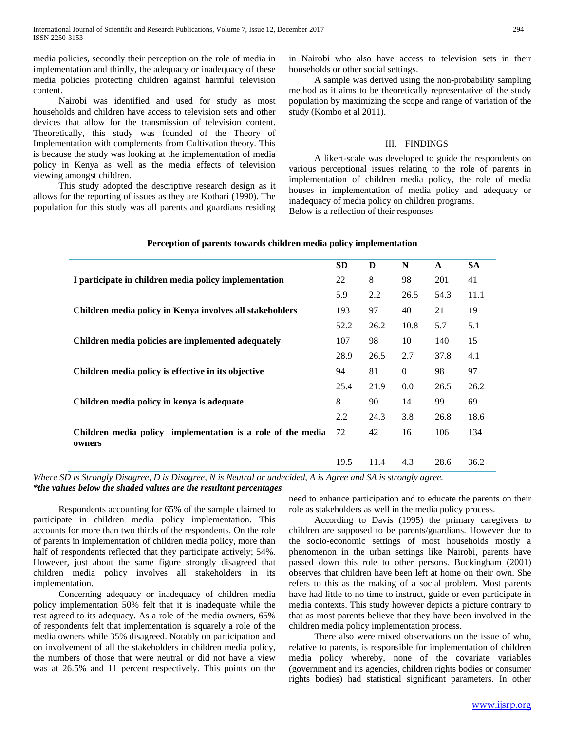media policies, secondly their perception on the role of media in implementation and thirdly, the adequacy or inadequacy of these media policies protecting children against harmful television content.

 Nairobi was identified and used for study as most households and children have access to television sets and other devices that allow for the transmission of television content. Theoretically, this study was founded of the Theory of Implementation with complements from Cultivation theory. This is because the study was looking at the implementation of media policy in Kenya as well as the media effects of television viewing amongst children.

 This study adopted the descriptive research design as it allows for the reporting of issues as they are Kothari (1990). The population for this study was all parents and guardians residing in Nairobi who also have access to television sets in their households or other social settings.

 A sample was derived using the non-probability sampling method as it aims to be theoretically representative of the study population by maximizing the scope and range of variation of the study (Kombo et al 2011).

#### III. FINDINGS

 A likert-scale was developed to guide the respondents on various perceptional issues relating to the role of parents in implementation of children media policy, the role of media houses in implementation of media policy and adequacy or inadequacy of media policy on children programs. Below is a reflection of their responses

| Terception of parents towards children inequal policy implementation  |           |      |          |              |           |
|-----------------------------------------------------------------------|-----------|------|----------|--------------|-----------|
|                                                                       | <b>SD</b> | D    | N        | $\mathbf{A}$ | <b>SA</b> |
| I participate in children media policy implementation                 | 22        | 8    | 98       | 201          | 41        |
|                                                                       | 5.9       | 2.2  | 26.5     | 54.3         | 11.1      |
| Children media policy in Kenya involves all stakeholders              | 193       | 97   | 40       | 21           | 19        |
|                                                                       | 52.2      | 26.2 | 10.8     | 5.7          | 5.1       |
| Children media policies are implemented adequately                    | 107       | 98   | 10       | 140          | 15        |
|                                                                       | 28.9      | 26.5 | 2.7      | 37.8         | 4.1       |
| Children media policy is effective in its objective                   | 94        | 81   | $\Omega$ | 98           | 97        |
|                                                                       | 25.4      | 21.9 | 0.0      | 26.5         | 26.2      |
| Children media policy in kenya is adequate                            | 8         | 90   | 14       | 99           | 69        |
|                                                                       | 2.2       | 24.3 | 3.8      | 26.8         | 18.6      |
| Children media policy implementation is a role of the media<br>owners | 72        | 42   | 16       | 106          | 134       |
|                                                                       | 19.5      | 11.4 | 4.3      | 28.6         | 36.2      |

# **Perception of parents towards children media policy implementation**

*Where SD is Strongly Disagree, D is Disagree, N is Neutral or undecided, A is Agree and SA is strongly agree. \*the values below the shaded values are the resultant percentages*

 Respondents accounting for 65% of the sample claimed to participate in children media policy implementation. This accounts for more than two thirds of the respondents. On the role of parents in implementation of children media policy, more than half of respondents reflected that they participate actively; 54%. However, just about the same figure strongly disagreed that children media policy involves all stakeholders in its implementation.

 Concerning adequacy or inadequacy of children media policy implementation 50% felt that it is inadequate while the rest agreed to its adequacy. As a role of the media owners, 65% of respondents felt that implementation is squarely a role of the media owners while 35% disagreed. Notably on participation and on involvement of all the stakeholders in children media policy, the numbers of those that were neutral or did not have a view was at 26.5% and 11 percent respectively. This points on the need to enhance participation and to educate the parents on their role as stakeholders as well in the media policy process.

 According to Davis (1995) the primary caregivers to children are supposed to be parents/guardians. However due to the socio-economic settings of most households mostly a phenomenon in the urban settings like Nairobi, parents have passed down this role to other persons. Buckingham (2001) observes that children have been left at home on their own. She refers to this as the making of a social problem. Most parents have had little to no time to instruct, guide or even participate in media contexts. This study however depicts a picture contrary to that as most parents believe that they have been involved in the children media policy implementation process.

 There also were mixed observations on the issue of who, relative to parents, is responsible for implementation of children media policy whereby, none of the covariate variables (government and its agencies, children rights bodies or consumer rights bodies) had statistical significant parameters. In other